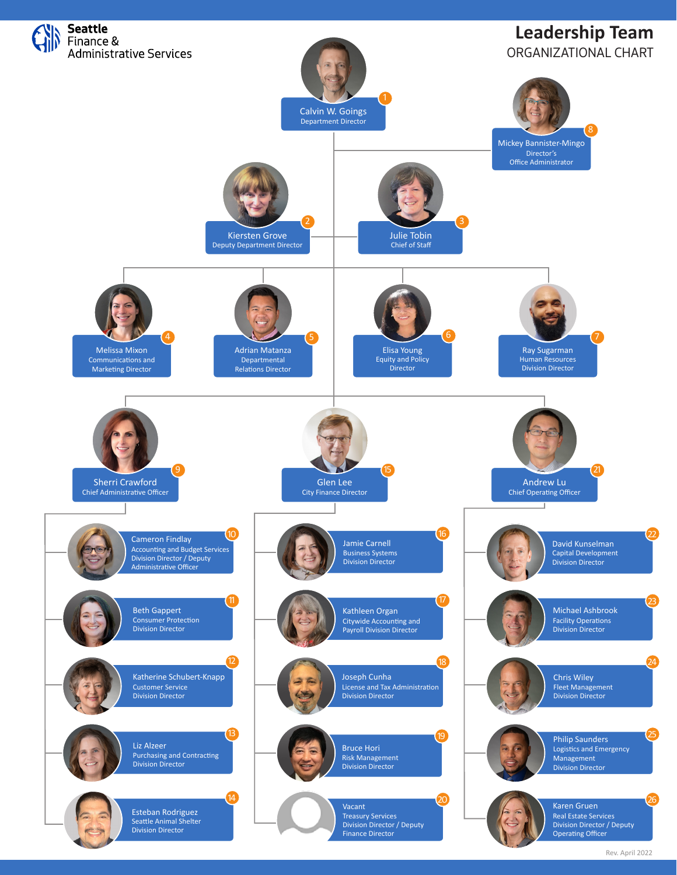

Rev. April 2022